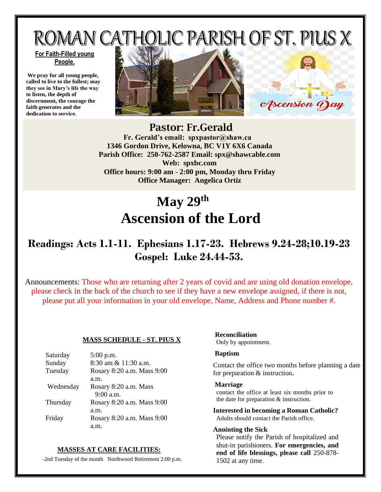ROMAN CATHOLIC PARISH OF ST. PIUS X

#### **For Faith-Filled young People.**

**We pray for all young people, called to live to the fullest; may they see in Mary's life the way to listen, the depth of discernment, the courage the faith generates and the dedication to service.**





Pastor: Fr.Gerald  **Fr. Gerald's email: spxpastor@shaw.ca 1346 Gordon Drive, Kelowna, BC V1Y 6X6 Canada Parish Office: 250-762-2587 Email: [spx@shawcable.com](mailto:spx@shawcable.com) Web: spxbc.com Office hours: 9:00 am - 2:00 pm, Monday thru Friday Office Manager: Angelica Ortiz**

# **May 29 th Ascension of the Lord**

# **Readings: Acts 1.1-11. Ephesians 1.17-23. Hebrews 9.24-28;10.19-23 Gospel: Luke 24.44-53.**

Announcements: Those who are returning after 2 years of covid and are using old donation envelope, please check in the back of the church to see if they have a new envelope assigned, if there is not, please put all your information in your old envelope, Name, Address and Phone number #.

#### **MASS SCHEDULE - ST. PIUS X**

| Saturday  | $5:00$ p.m.                |
|-----------|----------------------------|
| Sunday    | 8:30 am & 11:30 a.m.       |
| Tuesday   | Rosary 8:20 a.m. Mass 9:00 |
|           | a.m.                       |
| Wednesday | Rosary 8:20 a.m. Mass      |
|           | $9:00$ a.m.                |
| Thursday  | Rosary 8:20 a.m. Mass 9:00 |
|           | a.m.                       |
| Friday    | Rosary 8:20 a.m. Mass 9:00 |
|           |                            |

#### **MASSES AT CARE FACILITIES:**

-2nd Tuesday of the month Northwood Retirement 2:00 p.m.

### **Reconciliation**

Only by appointment.

#### **Baptism**

Contact the office two months before planning a date for preparation & instruction**.**

#### **Marriage**

contact the office at least six months prior to the date for preparation & instruction.

**Interested in becoming a Roman Catholic?** Adults should contact the Parish office.

#### **Anointing the Sick**

Please notify the Parish of hospitalized and shut-in parishioners. **For emergencies, and end of life blessings, please call** 250-878- 1502 at any time.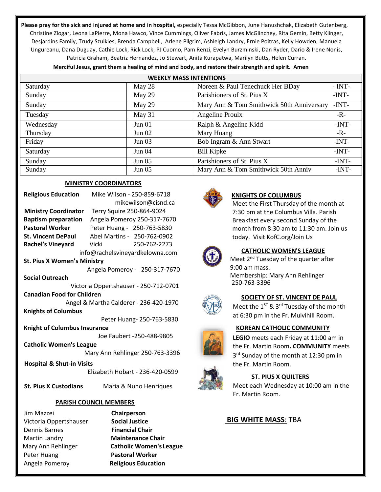**Please pray for the sick and injured at home and in hospital,** especially Tessa McGibbon, June Hanushchak, Elizabeth Gutenberg, Christine Zlogar, Leona LaPierre, Mona Hawco, Vince Cummings, Oliver Fabris, James McGlinchey, Rita Gemin, Betty Klinger, Desjardins Family, Trudy Szulkies, Brenda Campbell, Arlene Pilgrim, Ashleigh Landry, Ernie Poitras, Kelly Howden, Manuela Ungureanu, Dana Duguay, Cathie Lock, Rick Lock, PJ Cuomo, Pam Renzi, Evelyn Burzminski, Dan Ryder, Dario & Irene Nonis, Patricia Graham, Beatriz Hernandez, Jo Stewart, Anita Kurapatwa, Marilyn Butts, Helen Curran.

| <b>WEEKLY MASS INTENTIONS</b> |          |                                           |          |  |
|-------------------------------|----------|-------------------------------------------|----------|--|
| Saturday                      | May 28   | Noreen & Paul Tenechuck Her BDay          | $- INT-$ |  |
| Sunday                        | May 29   | Parishioners of St. Pius X                | -INT-    |  |
| Sunday                        | May 29   | Mary Ann & Tom Smithwick 50th Anniversary | $-INT-$  |  |
| Tuesday                       | May 31   | Angeline Proulx                           | $-R -$   |  |
| Wednesday                     | Jun 01   | Ralph & Angeline Kidd                     | -INT-    |  |
| Thursday                      | Jun $02$ | Mary Huang                                | $-R-$    |  |
| Friday                        | Jun $03$ | Bob Ingram & Ann Stwart                   | $-INT-$  |  |
| Saturday                      | Jun 04   | <b>Bill Kipke</b>                         | $-INT-$  |  |
| Sunday                        | Jun 05   | Parishioners of St. Pius X                | $-INT-$  |  |
| Sunday                        | Jun 05   | Mary Ann & Tom Smithwick 50th Anniv       | $-INT-$  |  |

**Merciful Jesus, grant them a healing of mind and body, and restore their strength and spirit. Amen**

#### **MINISTRY COORDINATORS**

| <b>Religious Education</b>             | Mike Wilson - 250-859-6718      |  |  |
|----------------------------------------|---------------------------------|--|--|
|                                        | mikewilson@cisnd.ca             |  |  |
| <b>Ministry Coordinator</b>            | Terry Squire 250-864-9024       |  |  |
| <b>Baptism preparation</b>             | Angela Pomeroy 250-317-7670     |  |  |
| <b>Pastoral Worker</b>                 | Peter Huang - 250-763-5830      |  |  |
| <b>St. Vincent DePaul</b>              | Abel Martins - 250-762-0902     |  |  |
| <b>Rachel's Vineyard</b>               | <b>Vicki</b><br>250-762-2273    |  |  |
| info@rachelsvineyardkelowna.com        |                                 |  |  |
| <b>St. Pius X Women's Ministry</b>     |                                 |  |  |
| Angela Pomeroy - 250-317-7670          |                                 |  |  |
| <b>Social Outreach</b>                 |                                 |  |  |
| Victoria Oppertshauser - 250-712-0701  |                                 |  |  |
| <b>Canadian Food for Children</b>      |                                 |  |  |
| Angel & Martha Calderer - 236-420-1970 |                                 |  |  |
| <b>Knights of Columbus</b>             |                                 |  |  |
| Peter Huang- 250-763-5830              |                                 |  |  |
| <b>Knight of Columbus Insurance</b>    |                                 |  |  |
| Joe Faubert -250-488-9805              |                                 |  |  |
| <b>Catholic Women's League</b>         |                                 |  |  |
| Mary Ann Rehlinger 250-763-3396        |                                 |  |  |
| <b>Hospital &amp; Shut-in Visits</b>   |                                 |  |  |
|                                        | Elizabeth Hobart - 236-420-0599 |  |  |

 **St. Pius X Custodians** Maria & Nuno Henriques

#### **PARISH COUNCIL MEMBERS**

Jim Mazzei **Chairperson**  Victoria Oppertshauser **Social Justice** Dennis Barnes **Financial Chair**  Martin Landry **Maintenance Chair**  Peter Huang **Pastoral Worker**  Angela Pomeroy **Religious Education**

Mary Ann Rehlinger **Catholic Women's League**



#### **KNIGHTS OF COLUMBUS**

Meet the First Thursday of the month at 7:30 pm at the Columbus Villa. Parish Breakfast every second Sunday of the month from 8:30 am to 11:30 am. Join us today. Visit KofC.org/Join Us



### **CATHOLIC WOMEN'S LEAGUE**

Meet 2<sup>nd</sup> Tuesday of the quarter after 9:00 am mass. Membership: Mary Ann Rehlinger 250-763-3396



#### **SOCIETY OF ST. VINCENT DE PAUL**

Meet the  $1^{ST}$  & 3<sup>rd</sup> Tuesday of the month at 6:30 pm in the Fr. Mulvihill Room.

#### **KOREAN CATHOLIC COMMUNITY**

**LEGIO** meets each Friday at 11:00 am in the Fr. Martin Room**. COMMUNITY** meets 3<sup>rd</sup> Sunday of the month at 12:30 pm in the Fr. Martin Room.



#### **ST. PIUS X QUILTERS**

Meet each Wednesday at 10:00 am in the Fr. Martin Room.

#### **BIG WHITE MASS**: TBA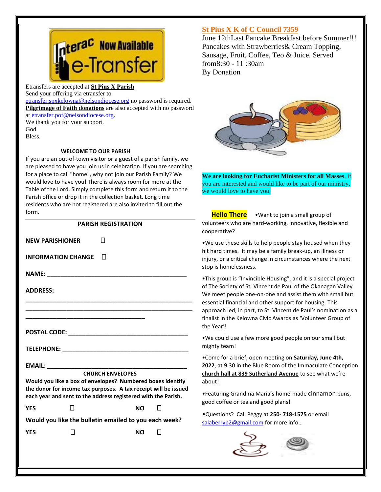

Etransfers are accepted at **St Pius X Parish** Send your offering via etransfer to

[etransfer.spxkelowna@nelsondiocese.org](file:///C:/Users/SPXAdmin/Desktop/Bulletin/Bulletins%202022/etransfer.spxkelowna@nelsondiocese.org) no password is required. **Pilgrimage of Faith donations** are also accepted with no password at [etransfer.pof@nelsondiocese.org.](file:///C:/Users/SPXAdmin/Desktop/Bulletin/Bulletins%202022/etransfer.pof@nelsondiocese.org)

We thank you for your support. God Bless.

#### **WELCOME TO OUR PARISH**

If you are an out-of-town visitor or a guest of a parish family, we are pleased to have you join us in celebration. If you are searching for a place to call "home", why not join our Parish Family? We would love to have you! There is always room for more at the Table of the Lord. Simply complete this form and return it to the Parish office or drop it in the collection basket. Long time residents who are not registered are also invited to fill out the form.

#### **PARISH REGISTRATION**

**INFORMATION CHANGE** 

**NEW PARISHIONER** 

**NAME: \_\_\_\_\_\_\_\_\_\_\_\_\_\_\_\_\_\_\_\_\_\_\_\_\_\_\_\_\_\_\_\_\_\_\_\_\_\_\_\_\_**

**ADDRESS:** 

**POSTAL CODE:**  $\blacksquare$ 

**TELEPHONE: \_\_\_\_\_\_\_\_\_\_\_\_\_\_\_\_\_\_\_\_\_\_\_\_\_\_\_\_\_\_\_\_\_\_\_\_\_**

### **EMAIL: \_\_\_\_\_\_\_\_\_\_\_\_\_\_\_\_\_\_\_\_\_\_\_\_\_\_\_\_\_\_\_\_\_\_\_\_\_\_\_\_\_**

**\_\_\_\_\_\_\_\_\_\_\_\_\_\_\_\_\_\_\_\_\_\_\_\_\_\_\_\_\_\_\_\_\_\_\_**

**CHURCH ENVELOPES**

**\_\_\_\_\_\_\_\_\_\_\_\_\_\_\_\_\_\_\_\_\_\_\_\_\_\_\_\_\_\_\_\_\_\_\_\_\_\_\_\_\_\_\_\_\_\_\_\_\_ \_\_\_\_\_\_\_\_\_\_\_\_\_\_\_\_\_\_\_\_\_\_\_\_\_\_\_\_\_\_\_\_\_\_\_\_\_\_\_\_\_\_\_\_\_\_\_\_\_**

**Would you like a box of envelopes? Numbered boxes identify the donor for income tax purposes. A tax receipt will be issued each year and sent to the address registered with the Parish.**

**YES NO** 

**Would you like the bulletin emailed to you each week?**

**YES** □ NO □

#### **St Pius X K of C Council 7359**

 June 12thLast Pancake Breakfast before Summer!!! Pancakes with Strawberries& Cream Topping, Sausage, Fruit, Coffee, Teo & Juice. Served from8:30 - 11 :30am By Donation



l **We are looking for Eucharist Ministers for all Masses**, if you are interested and would like to be part of our ministry, we would love to have you.

 **Hello There** •Want to join a small group of volunteers who are hard-working, innovative, flexible and cooperative?

 hit hard times. It may be a family break-up, an illness or injury, or a critical change in circumstances where the next •We use these skills to help people stay housed when they stop is homelessness.

•This group is "Invincible Housing", and it is a special project of The Society of St. Vincent de Paul of the Okanagan Valley. We meet people one-on-one and assist them with small but essential financial and other support for housing. This approach led, in part, to St. Vincent de Paul's nomination as a finalist in the Kelowna Civic Awards as 'Volunteer Group of the Year'!

•We could use a few more good people on our small but mighty team!

•Come for a brief, open meeting on **Saturday, June 4th, 2022**, at 9:30 in the Blue Room of the Immaculate Conception **church hall at 839 Sutherland Avenue** to see what we're about!

•Featuring Grandma Maria's home-made cinnamon buns, good coffee or tea and good plans!

•Questions? Call Peggy at **250- 718-1575** or email [salaberryp2@gmail.com](file:///C:/Users/SPXAdmin/Desktop/Bulletin/Bulletins%202022/salaberryp2@gmail.com) for more info…



l